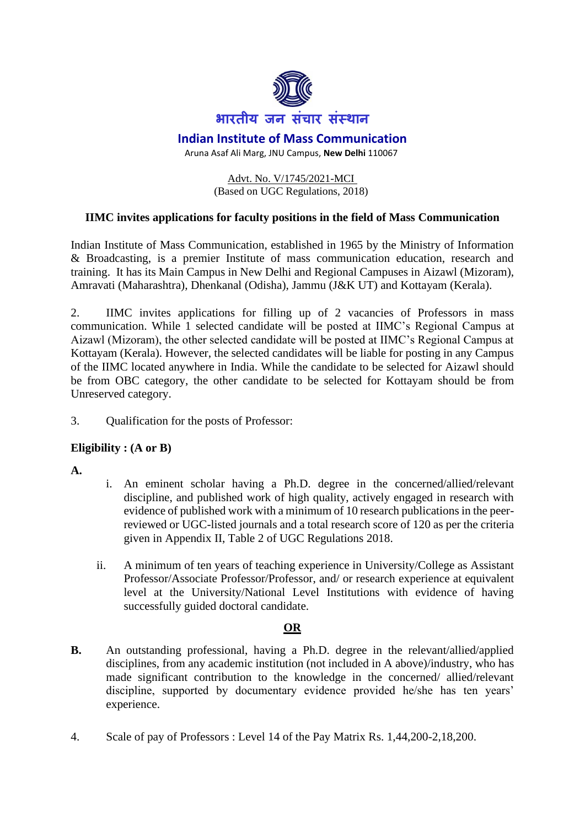

## **Indian Institute of Mass Communication**

Aruna Asaf Ali Marg, JNU Campus, **New Delhi** 110067

Advt. No. V/1745/2021-MCI (Based on UGC Regulations, 2018)

## **IIMC invites applications for faculty positions in the field of Mass Communication**

Indian Institute of Mass Communication, established in 1965 by the Ministry of Information & Broadcasting, is a premier Institute of mass communication education, research and training. It has its Main Campus in New Delhi and Regional Campuses in Aizawl (Mizoram), Amravati (Maharashtra), Dhenkanal (Odisha), Jammu (J&K UT) and Kottayam (Kerala).

2. IIMC invites applications for filling up of 2 vacancies of Professors in mass communication. While 1 selected candidate will be posted at IIMC's Regional Campus at Aizawl (Mizoram), the other selected candidate will be posted at IIMC's Regional Campus at Kottayam (Kerala). However, the selected candidates will be liable for posting in any Campus of the IIMC located anywhere in India. While the candidate to be selected for Aizawl should be from OBC category, the other candidate to be selected for Kottayam should be from Unreserved category.

3. Qualification for the posts of Professor:

## **Eligibility : (A or B)**

**A.**

- i. An eminent scholar having a Ph.D. degree in the concerned/allied/relevant discipline, and published work of high quality, actively engaged in research with evidence of published work with a minimum of 10 research publications in the peerreviewed or UGC-listed journals and a total research score of 120 as per the criteria given in Appendix II, Table 2 of UGC Regulations 2018.
- ii. A minimum of ten years of teaching experience in University/College as Assistant Professor/Associate Professor/Professor, and/ or research experience at equivalent level at the University/National Level Institutions with evidence of having successfully guided doctoral candidate.

## **OR**

- **B.** An outstanding professional, having a Ph.D. degree in the relevant/allied/applied disciplines, from any academic institution (not included in A above)/industry, who has made significant contribution to the knowledge in the concerned/ allied/relevant discipline, supported by documentary evidence provided he/she has ten years' experience.
- 4. Scale of pay of Professors : Level 14 of the Pay Matrix Rs. 1,44,200-2,18,200.